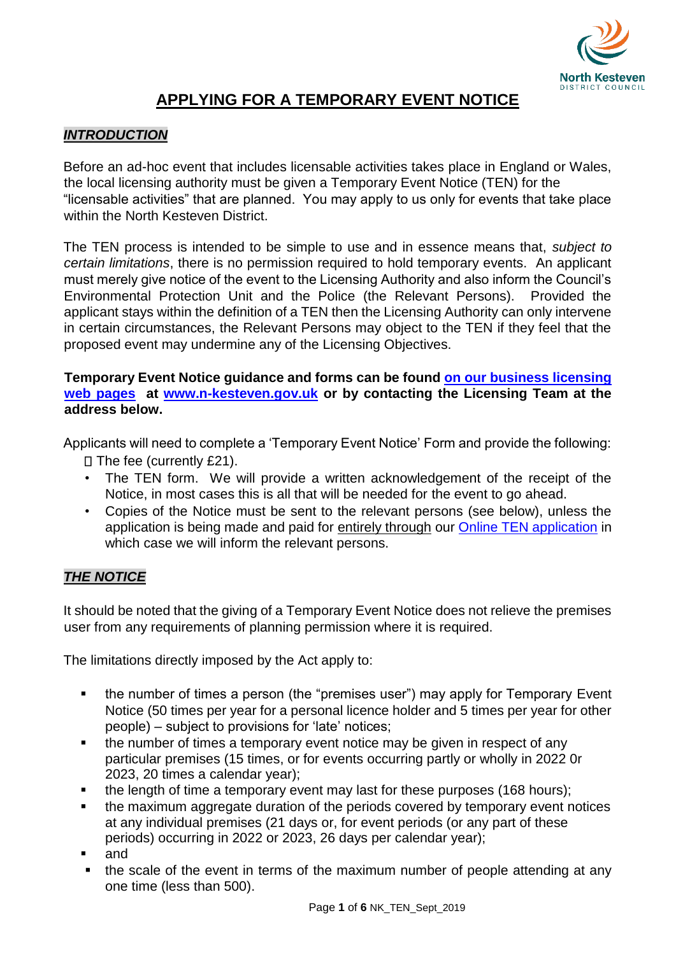

# **APPLYING FOR A TEMPORARY EVENT NOTICE**

## *INTRODUCTION*

Before an ad-hoc event that includes licensable activities takes place in England or Wales, the local licensing authority must be given a Temporary Event Notice (TEN) for the "licensable activities" that are planned. You may apply to us only for events that take place within the North Kesteven District.

The TEN process is intended to be simple to use and in essence means that, *subject to certain limitations*, there is no permission required to hold temporary events. An applicant must merely give notice of the event to the Licensing Authority and also inform the Council's Environmental Protection Unit and the Police (the Relevant Persons). Provided the applicant stays within the definition of a TEN then the Licensing Authority can only intervene in certain circumstances, the Relevant Persons may object to the TEN if they feel that the proposed event may undermine any of the Licensing Objectives.

**Temporary Event Notice guidance and forms can be found [on our business licensing](https://www.n-kesteven.gov.uk/business/licensing/business-licences-and-conditions/business-licences/temporary-event-notices-tens/) [web pages](https://www.n-kesteven.gov.uk/business/licensing/business-licences-and-conditions/business-licences/temporary-event-notices-tens/) at [www.n-kesteven.gov.uk](http://www.n-kesteven.gov.uk/) or by contacting the Licensing Team at the address below.** 

Applicants will need to complete a 'Temporary Event Notice' Form and provide the following:

- $\Box$  The fee (currently £21).
- The TEN form. We will provide a written acknowledgement of the receipt of the Notice, in most cases this is all that will be needed for the event to go ahead.
- Copies of the Notice must be sent to the relevant persons (see below), unless the application is being made and paid for entirely through our [Online TEN application](https://www.gov.uk/apply-for-a-licence/temporary-event-notice/north-kesteven/apply-1) in which case we will inform the relevant persons.

## *THE NOTICE*

It should be noted that the giving of a Temporary Event Notice does not relieve the premises user from any requirements of planning permission where it is required.

The limitations directly imposed by the Act apply to:

- the number of times a person (the "premises user") may apply for Temporary Event Notice (50 times per year for a personal licence holder and 5 times per year for other people) – subject to provisions for 'late' notices;
- the number of times a temporary event notice may be given in respect of any particular premises (15 times, or for events occurring partly or wholly in 2022 0r 2023, 20 times a calendar year);
- the length of time a temporary event may last for these purposes (168 hours);
- the maximum aggregate duration of the periods covered by temporary event notices at any individual premises (21 days or, for event periods (or any part of these periods) occurring in 2022 or 2023, 26 days per calendar year);
- and
- the scale of the event in terms of the maximum number of people attending at any one time (less than 500).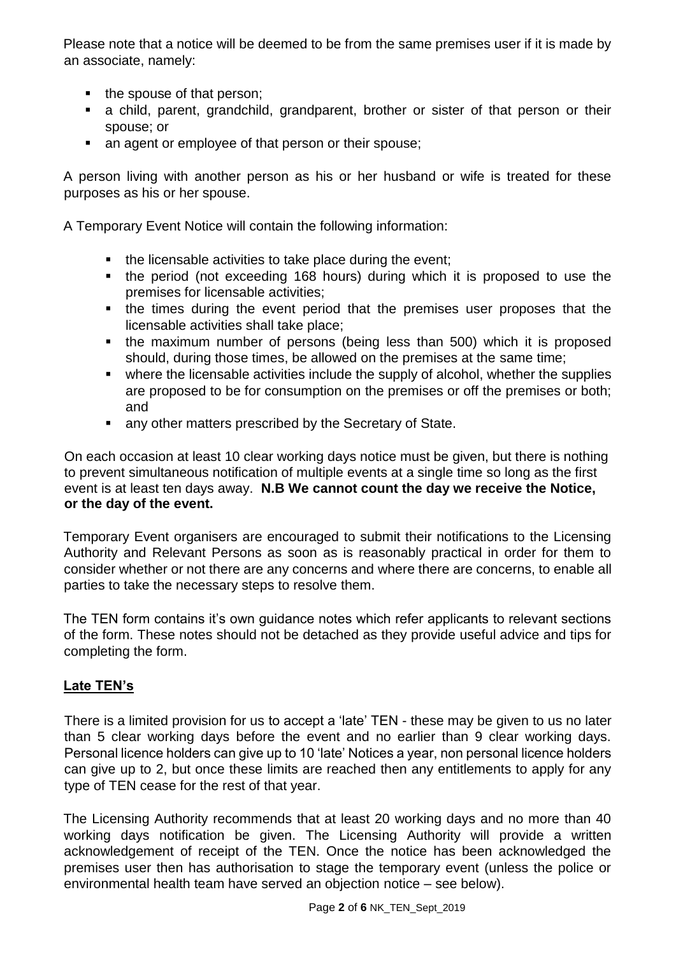Please note that a notice will be deemed to be from the same premises user if it is made by an associate, namely:

- $\blacksquare$  the spouse of that person;
- a child, parent, grandchild, grandparent, brother or sister of that person or their spouse; or
- an agent or employee of that person or their spouse;

A person living with another person as his or her husband or wife is treated for these purposes as his or her spouse.

A Temporary Event Notice will contain the following information:

- the licensable activities to take place during the event;
- the period (not exceeding 168 hours) during which it is proposed to use the premises for licensable activities;
- the times during the event period that the premises user proposes that the licensable activities shall take place;
- the maximum number of persons (being less than 500) which it is proposed should, during those times, be allowed on the premises at the same time;
- where the licensable activities include the supply of alcohol, whether the supplies are proposed to be for consumption on the premises or off the premises or both; and
- **any other matters prescribed by the Secretary of State.**

On each occasion at least 10 clear working days notice must be given, but there is nothing to prevent simultaneous notification of multiple events at a single time so long as the first event is at least ten days away. **N.B We cannot count the day we receive the Notice, or the day of the event.** 

Temporary Event organisers are encouraged to submit their notifications to the Licensing Authority and Relevant Persons as soon as is reasonably practical in order for them to consider whether or not there are any concerns and where there are concerns, to enable all parties to take the necessary steps to resolve them.

The TEN form contains it's own guidance notes which refer applicants to relevant sections of the form. These notes should not be detached as they provide useful advice and tips for completing the form.

## **Late TEN's**

There is a limited provision for us to accept a 'late' TEN - these may be given to us no later than 5 clear working days before the event and no earlier than 9 clear working days. Personal licence holders can give up to 10 'late' Notices a year, non personal licence holders can give up to 2, but once these limits are reached then any entitlements to apply for any type of TEN cease for the rest of that year.

The Licensing Authority recommends that at least 20 working days and no more than 40 working days notification be given. The Licensing Authority will provide a written acknowledgement of receipt of the TEN. Once the notice has been acknowledged the premises user then has authorisation to stage the temporary event (unless the police or environmental health team have served an objection notice – see below).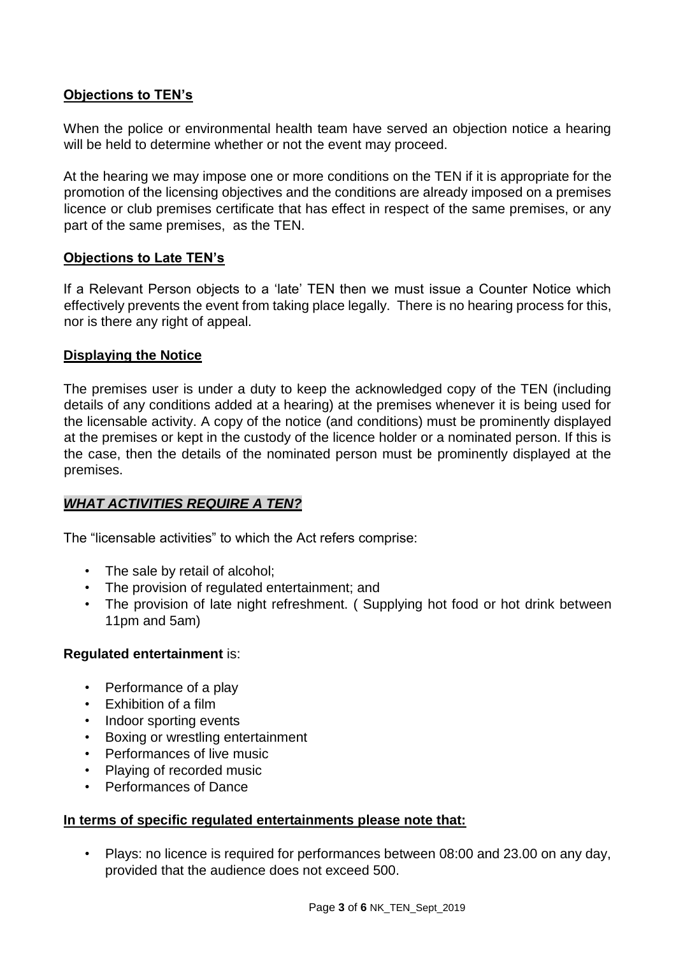## **Objections to TEN's**

When the police or environmental health team have served an objection notice a hearing will be held to determine whether or not the event may proceed.

At the hearing we may impose one or more conditions on the TEN if it is appropriate for the promotion of the licensing objectives and the conditions are already imposed on a premises licence or club premises certificate that has effect in respect of the same premises, or any part of the same premises, as the TEN.

#### **Objections to Late TEN's**

If a Relevant Person objects to a 'late' TEN then we must issue a Counter Notice which effectively prevents the event from taking place legally. There is no hearing process for this, nor is there any right of appeal.

#### **Displaying the Notice**

The premises user is under a duty to keep the acknowledged copy of the TEN (including details of any conditions added at a hearing) at the premises whenever it is being used for the licensable activity. A copy of the notice (and conditions) must be prominently displayed at the premises or kept in the custody of the licence holder or a nominated person. If this is the case, then the details of the nominated person must be prominently displayed at the premises.

## *WHAT ACTIVITIES REQUIRE A TEN?*

The "licensable activities" to which the Act refers comprise:

- The sale by retail of alcohol;
- The provision of regulated entertainment; and
- The provision of late night refreshment. ( Supplying hot food or hot drink between 11pm and 5am)

#### **Regulated entertainment** is:

- Performance of a play
- Exhibition of a film
- Indoor sporting events
- Boxing or wrestling entertainment
- Performances of live music
- Playing of recorded music
- Performances of Dance

#### **In terms of specific regulated entertainments please note that:**

• Plays: no licence is required for performances between 08:00 and 23.00 on any day, provided that the audience does not exceed 500.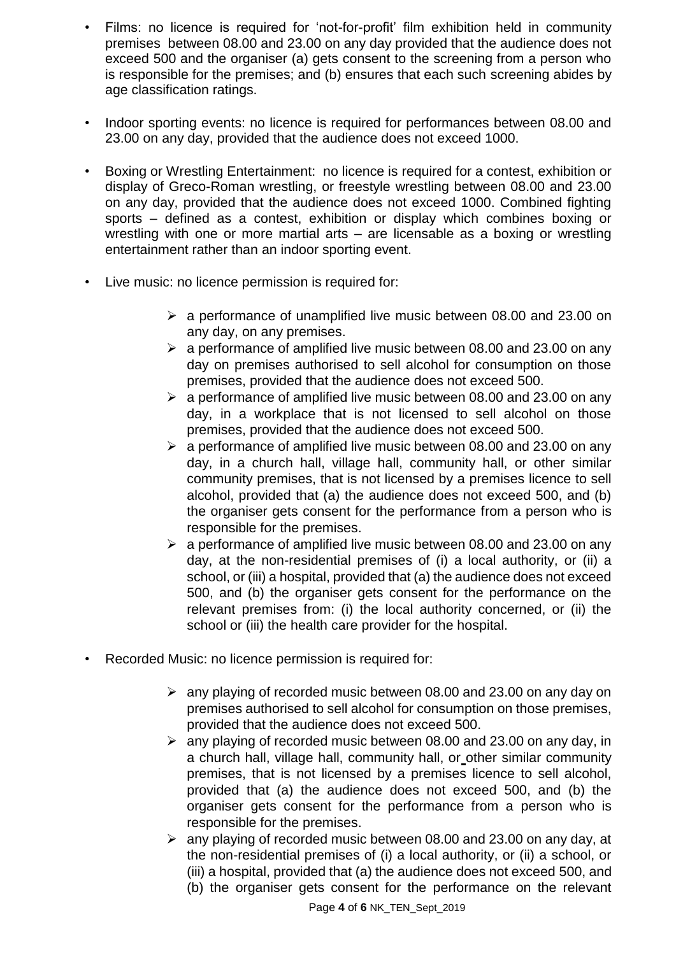- Films: no licence is required for 'not-for-profit' film exhibition held in community premises between 08.00 and 23.00 on any day provided that the audience does not exceed 500 and the organiser (a) gets consent to the screening from a person who is responsible for the premises; and (b) ensures that each such screening abides by age classification ratings.
- Indoor sporting events: no licence is required for performances between 08.00 and 23.00 on any day, provided that the audience does not exceed 1000.
- Boxing or Wrestling Entertainment: no licence is required for a contest, exhibition or display of Greco-Roman wrestling, or freestyle wrestling between 08.00 and 23.00 on any day, provided that the audience does not exceed 1000. Combined fighting sports – defined as a contest, exhibition or display which combines boxing or wrestling with one or more martial arts – are licensable as a boxing or wrestling entertainment rather than an indoor sporting event.
- Live music: no licence permission is required for:
	- $\triangleright$  a performance of unamplified live music between 08.00 and 23.00 on any day, on any premises.
	- $\geq$  a performance of amplified live music between 08.00 and 23.00 on any day on premises authorised to sell alcohol for consumption on those premises, provided that the audience does not exceed 500.
	- $\geq$  a performance of amplified live music between 08.00 and 23.00 on any day, in a workplace that is not licensed to sell alcohol on those premises, provided that the audience does not exceed 500.
	- $\geq$  a performance of amplified live music between 08.00 and 23.00 on any day, in a church hall, village hall, community hall, or other similar community premises, that is not licensed by a premises licence to sell alcohol, provided that (a) the audience does not exceed 500, and (b) the organiser gets consent for the performance from a person who is responsible for the premises.
	- $\geq$  a performance of amplified live music between 08.00 and 23.00 on any day, at the non-residential premises of (i) a local authority, or (ii) a school, or (iii) a hospital, provided that (a) the audience does not exceed 500, and (b) the organiser gets consent for the performance on the relevant premises from: (i) the local authority concerned, or (ii) the school or (iii) the health care provider for the hospital.
- Recorded Music: no licence permission is required for:
	- $\geq$  any playing of recorded music between 08.00 and 23.00 on any day on premises authorised to sell alcohol for consumption on those premises, provided that the audience does not exceed 500.
	- $\geq$  any playing of recorded music between 08.00 and 23.00 on any day, in a church hall, village hall, community hall, or other similar community premises, that is not licensed by a premises licence to sell alcohol, provided that (a) the audience does not exceed 500, and (b) the organiser gets consent for the performance from a person who is responsible for the premises.
	- $\geq$  any playing of recorded music between 08.00 and 23.00 on any day, at the non-residential premises of (i) a local authority, or (ii) a school, or (iii) a hospital, provided that (a) the audience does not exceed 500, and (b) the organiser gets consent for the performance on the relevant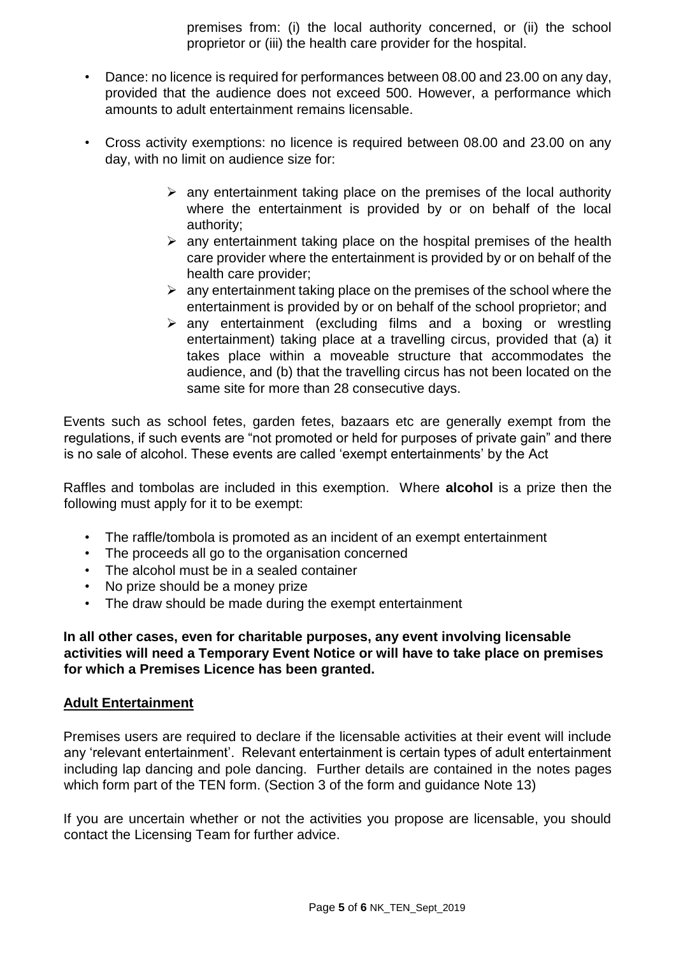premises from: (i) the local authority concerned, or (ii) the school proprietor or (iii) the health care provider for the hospital.

- Dance: no licence is required for performances between 08.00 and 23.00 on any day, provided that the audience does not exceed 500. However, a performance which amounts to adult entertainment remains licensable.
- Cross activity exemptions: no licence is required between 08.00 and 23.00 on any day, with no limit on audience size for:
	- $\triangleright$  any entertainment taking place on the premises of the local authority where the entertainment is provided by or on behalf of the local authority;
	- $\triangleright$  any entertainment taking place on the hospital premises of the health care provider where the entertainment is provided by or on behalf of the health care provider;
	- $\triangleright$  any entertainment taking place on the premises of the school where the entertainment is provided by or on behalf of the school proprietor; and
	- $\triangleright$  any entertainment (excluding films and a boxing or wrestling entertainment) taking place at a travelling circus, provided that (a) it takes place within a moveable structure that accommodates the audience, and (b) that the travelling circus has not been located on the same site for more than 28 consecutive days.

Events such as school fetes, garden fetes, bazaars etc are generally exempt from the regulations, if such events are "not promoted or held for purposes of private gain" and there is no sale of alcohol. These events are called 'exempt entertainments' by the Act

Raffles and tombolas are included in this exemption. Where **alcohol** is a prize then the following must apply for it to be exempt:

- The raffle/tombola is promoted as an incident of an exempt entertainment
- The proceeds all go to the organisation concerned
- The alcohol must be in a sealed container
- No prize should be a money prize
- The draw should be made during the exempt entertainment

**In all other cases, even for charitable purposes, any event involving licensable activities will need a Temporary Event Notice or will have to take place on premises for which a Premises Licence has been granted.** 

#### **Adult Entertainment**

Premises users are required to declare if the licensable activities at their event will include any 'relevant entertainment'. Relevant entertainment is certain types of adult entertainment including lap dancing and pole dancing. Further details are contained in the notes pages which form part of the TEN form. (Section 3 of the form and guidance Note 13)

If you are uncertain whether or not the activities you propose are licensable, you should contact the Licensing Team for further advice.